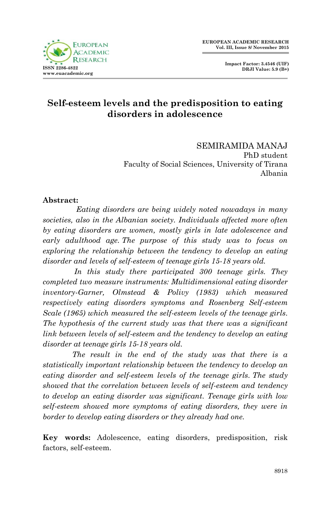

# **Self-esteem levels and the predisposition to eating disorders in adolescence**

SEMIRAMIDA MANAJ PhD student Faculty of Social Sciences, University of Tirana Albania

#### **Abstract:**

 *Eating disorders are being widely noted nowadays in many societies, also in the Albanian society. Individuals affected more often by eating disorders are women, mostly girls in late adolescence and early adulthood age. The purpose of this study was to focus on exploring the relationship between the tendency to develop an eating disorder and levels of self-esteem of teenage girls 15-18 years old.*

 *In this study there participated 300 teenage girls. They completed two measure instruments: Multidimensional eating disorder inventory-Garner, Olmstead & Polivy (1983) which measured respectively eating disorders symptoms and Rosenberg Self-esteem Scale (1965) which measured the self-esteem levels of the teenage girls. The hypothesis of the current study was that there was a significant link between levels of self-esteem and the tendency to develop an eating disorder at teenage girls 15-18 years old.*

 *The result in the end of the study was that there is a statistically important relationship between the tendency to develop an eating disorder and self-esteem levels of the teenage girls. The study showed that the correlation between levels of self-esteem and tendency to develop an eating disorder was significant. Teenage girls with low self-esteem showed more symptoms of eating disorders, they were in border to develop eating disorders or they already had one.*

**Key words:** Adolescence, eating disorders, predisposition, risk factors, self-esteem.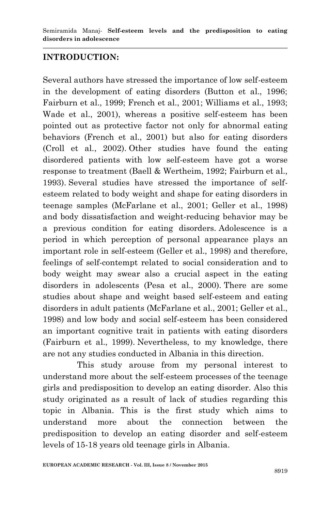## **INTRODUCTION:**

Several authors have stressed the importance of low self-esteem in the development of eating disorders (Button et al., 1996; Fairburn et al., 1999; French et al., 2001; Williams et al., 1993; Wade et al., 2001), whereas a positive self-esteem has been pointed out as protective factor not only for abnormal eating behaviors (French et al., 2001) but also for eating disorders (Croll et al., 2002). Other studies have found the eating disordered patients with low self-esteem have got a worse response to treatment (Baell & Wertheim, 1992; Fairburn et al., 1993). Several studies have stressed the importance of selfesteem related to body weight and shape for eating disorders in teenage samples (McFarlane et al., 2001; Geller et al., 1998) and body dissatisfaction and weight-reducing behavior may be a previous condition for eating disorders. Adolescence is a period in which perception of personal appearance plays an important role in self-esteem (Geller et al., 1998) and therefore, feelings of self-contempt related to social consideration and to body weight may swear also a crucial aspect in the eating disorders in adolescents (Pesa et al., 2000). There are some studies about shape and weight based self-esteem and eating disorders in adult patients (McFarlane et al., 2001; Geller et al., 1998) and low body and social self-esteem has been considered an important cognitive trait in patients with eating disorders (Fairburn et al., 1999). Nevertheless, to my knowledge, there are not any studies conducted in Albania in this direction.

 This study arouse from my personal interest to understand more about the self-esteem processes of the teenage girls and predisposition to develop an eating disorder. Also this study originated as a result of lack of studies regarding this topic in Albania. This is the first study which aims to understand more about the connection between the predisposition to develop an eating disorder and self-esteem levels of 15-18 years old teenage girls in Albania.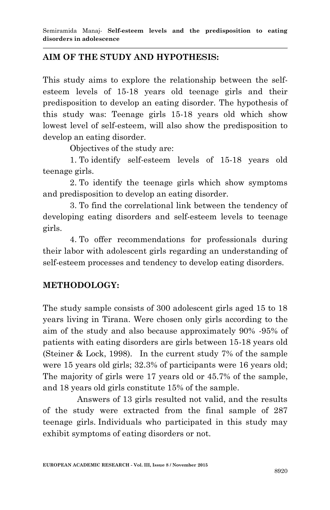## **AIM OF THE STUDY AND HYPOTHESIS:**

This study aims to explore the relationship between the selfesteem levels of 15-18 years old teenage girls and their predisposition to develop an eating disorder. The hypothesis of this study was: Teenage girls 15-18 years old which show lowest level of self-esteem, will also show the predisposition to develop an eating disorder.

Objectives of the study are:

1. To identify self-esteem levels of 15-18 years old teenage girls.

2. To identify the teenage girls which show symptoms and predisposition to develop an eating disorder.

3. To find the correlational link between the tendency of developing eating disorders and self-esteem levels to teenage girls.

4. To offer recommendations for professionals during their labor with adolescent girls regarding an understanding of self-esteem processes and tendency to develop eating disorders.

## **METHODOLOGY:**

The study sample consists of 300 adolescent girls aged 15 to 18 years living in Tirana. Were chosen only girls according to the aim of the study and also because approximately 90% -95% of patients with eating disorders are girls between 15-18 years old (Steiner & Lock, 1998). In the current study 7% of the sample were 15 years old girls; 32.3% of participants were 16 years old; The majority of girls were 17 years old or 45.7% of the sample, and 18 years old girls constitute 15% of the sample.

 Answers of 13 girls resulted not valid, and the results of the study were extracted from the final sample of 287 teenage girls. Individuals who participated in this study may exhibit symptoms of eating disorders or not.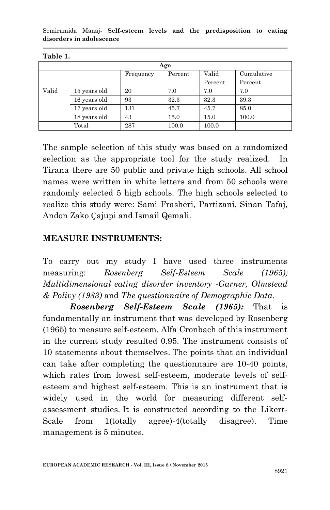Semiramida Manaj*-* **Self-esteem levels and the predisposition to eating disorders in adolescence**

| Age   |              |           |         |         |            |
|-------|--------------|-----------|---------|---------|------------|
|       |              | Frequency | Percent | Valid   | Cumulative |
|       |              |           |         | Percent | Percent    |
| Valid | 15 years old | 20        | 7.0     | 7.0     | 7.0        |
|       | 16 years old | 93        | 32.3    | 32.3    | 39.3       |
|       | 17 years old | 131       | 45.7    | 45.7    | 85.0       |
|       | 18 years old | 43        | 15.0    | 15.0    | 100.0      |
|       | Total        | 287       | 100.0   | 100.0   |            |

**Table 1.**

The sample selection of this study was based on a randomized selection as the appropriate tool for the study realized. In Tirana there are 50 public and private high schools. All school names were written in white letters and from 50 schools were randomly selected 5 high schools. The high schools selected to realize this study were: Sami Frashëri, Partizani, Sinan Tafaj, Andon Zako Ҫajupi and Ismail Qemali.

### **MEASURE INSTRUMENTS:**

To carry out my study I have used three instruments measuring: *Rosenberg Self-Esteem Scale (1965); Multidimensional eating disorder inventory -Garner, Olmstead & Polivy (1983)* and *The questionnaire of Demographic Data.*

*Rosenberg Self-Esteem Scale (1965):* That is fundamentally an instrument that was developed by Rosenberg (1965) to measure self-esteem. Alfa Cronbach of this instrument in the current study resulted 0.95. The instrument consists of 10 statements about themselves. The points that an individual can take after completing the questionnaire are 10-40 points, which rates from lowest self-esteem, moderate levels of selfesteem and highest self-esteem. This is an instrument that is widely used in the world for measuring different selfassessment studies. It is constructed according to the Likert-Scale from 1(totally agree)-4(totally disagree). Time management is 5 minutes.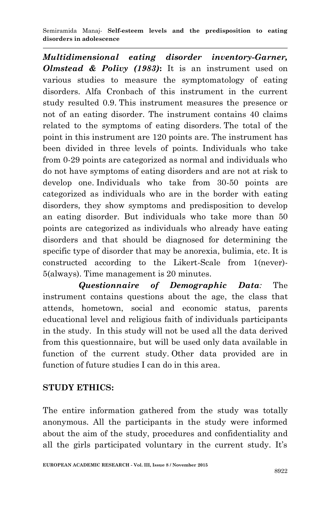Semiramida Manaj*-* **Self-esteem levels and the predisposition to eating disorders in adolescence**

*Multidimensional eating disorder inventory-Garner, Olmstead & Polivy (1983)***:** It is an instrument used on various studies to measure the symptomatology of eating disorders. Alfa Cronbach of this instrument in the current study resulted 0.9. This instrument measures the presence or not of an eating disorder. The instrument contains 40 claims related to the symptoms of eating disorders. The total of the point in this instrument are 120 points are. The instrument has been divided in three levels of points. Individuals who take from 0-29 points are categorized as normal and individuals who do not have symptoms of eating disorders and are not at risk to develop one. Individuals who take from 30-50 points are categorized as individuals who are in the border with eating disorders, they show symptoms and predisposition to develop an eating disorder. But individuals who take more than 50 points are categorized as individuals who already have eating disorders and that should be diagnosed for determining the specific type of disorder that may be anorexia, bulimia, etc. It is constructed according to the Likert-Scale from 1(never)- 5(always). Time management is 20 minutes.

 *Questionnaire of Demographic Data:* The instrument contains questions about the age, the class that attends, hometown, social and economic status, parents educational level and religious faith of individuals participants in the study. In this study will not be used all the data derived from this questionnaire, but will be used only data available in function of the current study. Other data provided are in function of future studies I can do in this area.

## **STUDY ETHICS:**

The entire information gathered from the study was totally anonymous. All the participants in the study were informed about the aim of the study, procedures and confidentiality and all the girls participated voluntary in the current study. It's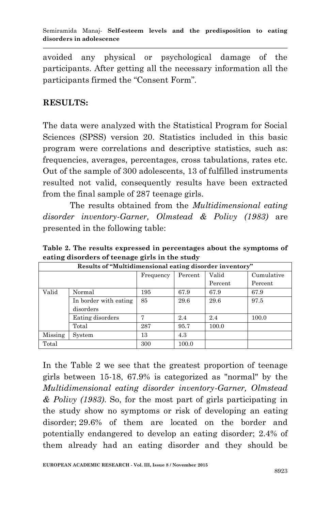avoided any physical or psychological damage of the participants. After getting all the necessary information all the participants firmed the "Consent Form".

### **RESULTS:**

The data were analyzed with the Statistical Program for Social Sciences (SPSS) version 20. Statistics included in this basic program were correlations and descriptive statistics, such as: frequencies, averages, percentages, cross tabulations, rates etc. Out of the sample of 300 adolescents, 13 of fulfilled instruments resulted not valid, consequently results have been extracted from the final sample of 287 teenage girls.

The results obtained from the *Multidimensional eating disorder inventory-Garner, Olmstead & Polivy (1983)* are presented in the following table:

| Results of "Multidimensional eating disorder inventory" |                       |           |         |         |            |
|---------------------------------------------------------|-----------------------|-----------|---------|---------|------------|
|                                                         |                       | Frequency | Percent | Valid   | Cumulative |
|                                                         |                       |           |         | Percent | Percent    |
| Valid                                                   | Normal                | 195       | 67.9    | 67.9    | 67.9       |
|                                                         | In border with eating | 85        | 29.6    | 29.6    | 97.5       |
|                                                         | disorders             |           |         |         |            |
|                                                         | Eating disorders      | π,        | 2.4     | 2.4     | 100.0      |
|                                                         | Total                 | 287       | 95.7    | 100.0   |            |
| Missing                                                 | System                | 13        | 4.3     |         |            |
| Total                                                   |                       | 300       | 100.0   |         |            |

**Table 2. The results expressed in percentages about the symptoms of eating disorders of teenage girls in the study**

In the Table 2 we see that the greatest proportion of teenage girls between 15-18, 67.9% is categorized as "normal" by the *Multidimensional eating disorder inventory-Garner, Olmstead & Polivy (1983)*. So, for the most part of girls participating in the study show no symptoms or risk of developing an eating disorder; 29.6% of them are located on the border and potentially endangered to develop an eating disorder; 2.4% of them already had an eating disorder and they should be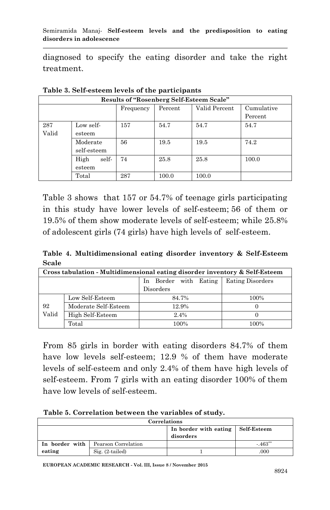diagnosed to specify the eating disorder and take the right treatment.

| Results of "Rosenberg Self-Esteem Scale" |               |           |         |               |            |
|------------------------------------------|---------------|-----------|---------|---------------|------------|
|                                          |               | Frequency | Percent | Valid Percent | Cumulative |
|                                          |               |           |         |               | Percent    |
| 287                                      | Low self-     | 157       | 54.7    | 54.7          | 54.7       |
| Valid                                    | esteem        |           |         |               |            |
|                                          | Moderate      | 56        | 19.5    | 19.5          | 74.2       |
|                                          | self-esteem   |           |         |               |            |
|                                          | self-<br>High | 74        | 25.8    | 25.8          | 100.0      |
|                                          | esteem        |           |         |               |            |
|                                          | Total         | 287       | 100.0   | 100.0         |            |

**Table 3. Self-esteem levels of the participants**

Table 3 shows that 157 or 54.7% of teenage girls participating in this study have lower levels of self-esteem; 56 of them or 19.5% of them show moderate levels of self-esteem; while 25.8% of adolescent girls (74 girls) have high levels of self-esteem.

**Table 4. Multidimensional eating disorder inventory & Self-Esteem Scale**

| Cross tabulation - Multidimensional eating disorder inventory & Self-Esteem |                      |                       |                         |  |  |
|-----------------------------------------------------------------------------|----------------------|-----------------------|-------------------------|--|--|
|                                                                             |                      | In Border with Eating | <b>Eating Disorders</b> |  |  |
|                                                                             |                      | Disorders             |                         |  |  |
| 92                                                                          | Low Self-Esteem      | 84.7%                 | 100%                    |  |  |
|                                                                             | Moderate Self-Esteem | 12.9%                 |                         |  |  |
| Valid                                                                       | High Self-Esteem     | 2.4%                  |                         |  |  |
|                                                                             | Total                | 100%                  | 100%                    |  |  |

From 85 girls in border with eating disorders 84.7% of them have low levels self-esteem; 12.9 % of them have moderate levels of self-esteem and only 2.4% of them have high levels of self-esteem. From 7 girls with an eating disorder 100% of them have low levels of self-esteem.

|  |  |  | Table 5. Correlation between the variables of study. |  |
|--|--|--|------------------------------------------------------|--|
|--|--|--|------------------------------------------------------|--|

| Correlations   |                     |                       |             |  |  |
|----------------|---------------------|-----------------------|-------------|--|--|
|                |                     | In border with eating | Self-Esteem |  |  |
|                |                     | disorders             |             |  |  |
| In border with | Pearson Correlation |                       | $-0.463**$  |  |  |
| eating         | $Sig. (2-tailed)$   |                       | .000        |  |  |

**EUROPEAN ACADEMIC RESEARCH - Vol. III, Issue 8 / November 2015**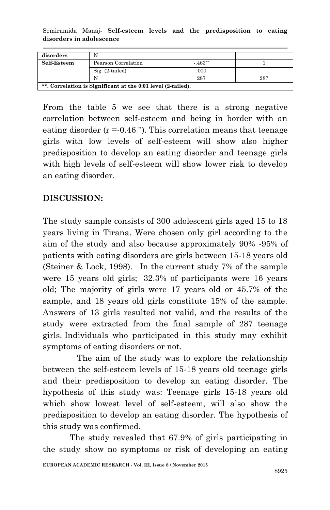Semiramida Manaj*-* **Self-esteem levels and the predisposition to eating disorders in adolescence**

| disorders                                                    |                     |            |     |  |  |
|--------------------------------------------------------------|---------------------|------------|-----|--|--|
| Self-Esteem                                                  | Pearson Correlation | $-0.463**$ |     |  |  |
|                                                              | $Sig. (2-tailed)$   | .000       |     |  |  |
|                                                              |                     | 287        | 287 |  |  |
| **. Correlation is Significant at the 0:01 level (2-tailed). |                     |            |     |  |  |

From the table 5 we see that there is a strong negative correlation between self-esteem and being in border with an eating disorder  $(r = 0.46)$ . This correlation means that teenage girls with low levels of self-esteem will show also higher predisposition to develop an eating disorder and teenage girls with high levels of self-esteem will show lower risk to develop an eating disorder.

## **DISCUSSION:**

The study sample consists of 300 adolescent girls aged 15 to 18 years living in Tirana. Were chosen only girl according to the aim of the study and also because approximately 90% -95% of patients with eating disorders are girls between 15-18 years old (Steiner & Lock, 1998). In the current study 7% of the sample were 15 years old girls; 32.3% of participants were 16 years old; The majority of girls were 17 years old or 45.7% of the sample, and 18 years old girls constitute 15% of the sample. Answers of 13 girls resulted not valid, and the results of the study were extracted from the final sample of 287 teenage girls. Individuals who participated in this study may exhibit symptoms of eating disorders or not.

 The aim of the study was to explore the relationship between the self-esteem levels of 15-18 years old teenage girls and their predisposition to develop an eating disorder. The hypothesis of this study was: Teenage girls 15-18 years old which show lowest level of self-esteem, will also show the predisposition to develop an eating disorder. The hypothesis of this study was confirmed.

The study revealed that 67.9% of girls participating in the study show no symptoms or risk of developing an eating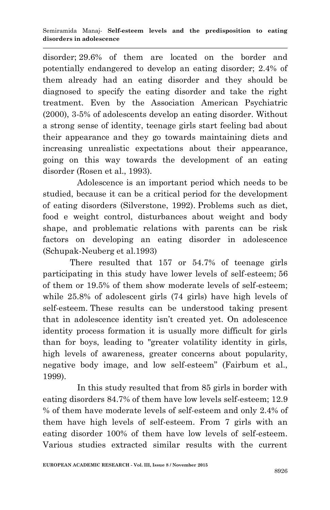disorder; 29.6% of them are located on the border and potentially endangered to develop an eating disorder; 2.4% of them already had an eating disorder and they should be diagnosed to specify the eating disorder and take the right treatment. Even by the Association American Psychiatric (2000), 3-5% of adolescents develop an eating disorder. Without a strong sense of identity, teenage girls start feeling bad about their appearance and they go towards maintaining diets and increasing unrealistic expectations about their appearance, going on this way towards the development of an eating disorder (Rosen et al., 1993).

 Adolescence is an important period which needs to be studied, because it can be a critical period for the development of eating disorders (Silverstone, 1992). Problems such as diet, food e weight control, disturbances about weight and body shape, and problematic relations with parents can be risk factors on developing an eating disorder in adolescence (Schupak-Neuberg et al.1993)

There resulted that 157 or 54.7% of teenage girls participating in this study have lower levels of self-esteem; 56 of them or 19.5% of them show moderate levels of self-esteem; while 25.8% of adolescent girls (74 girls) have high levels of self-esteem. These results can be understood taking present that in adolescence identity isn't created yet. On adolescence identity process formation it is usually more difficult for girls than for boys, leading to "greater volatility identity in girls, high levels of awareness, greater concerns about popularity, negative body image, and low self-esteem" (Fairbum et al., 1999).

 In this study resulted that from 85 girls in border with eating disorders 84.7% of them have low levels self-esteem; 12.9 % of them have moderate levels of self-esteem and only 2.4% of them have high levels of self-esteem. From 7 girls with an eating disorder 100% of them have low levels of self-esteem. Various studies extracted similar results with the current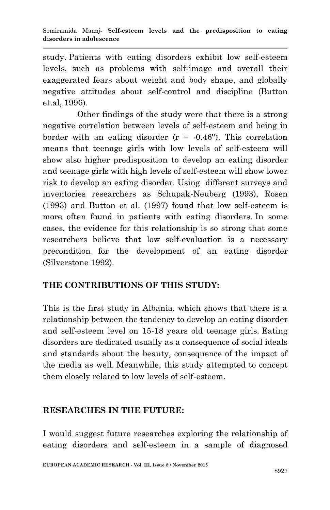study. Patients with eating disorders exhibit low self-esteem levels, such as problems with self-image and overall their exaggerated fears about weight and body shape, and globally negative attitudes about self-control and discipline (Button et.al, 1996).

 Other findings of the study were that there is a strong negative correlation between levels of self-esteem and being in border with an eating disorder  $(r = -0.46)$ . This correlation means that teenage girls with low levels of self-esteem will show also higher predisposition to develop an eating disorder and teenage girls with high levels of self-esteem will show lower risk to develop an eating disorder. Using different surveys and inventories researchers as Schupak-Neuberg (1993), Rosen (1993) and Button et al. (1997) found that low self-esteem is more often found in patients with eating disorders. In some cases, the evidence for this relationship is so strong that some researchers believe that low self-evaluation is a necessary precondition for the development of an eating disorder (Silverstone 1992).

# **THE CONTRIBUTIONS OF THIS STUDY:**

This is the first study in Albania, which shows that there is a relationship between the tendency to develop an eating disorder and self-esteem level on 15-18 years old teenage girls. Eating disorders are dedicated usually as a consequence of social ideals and standards about the beauty, consequence of the impact of the media as well. Meanwhile, this study attempted to concept them closely related to low levels of self-esteem.

## **RESEARCHES IN THE FUTURE:**

I would suggest future researches exploring the relationship of eating disorders and self-esteem in a sample of diagnosed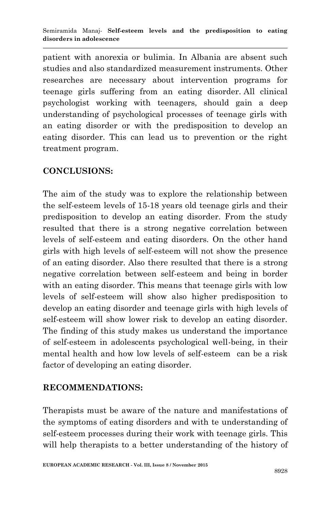patient with anorexia or bulimia. In Albania are absent such studies and also standardized measurement instruments. Other researches are necessary about intervention programs for teenage girls suffering from an eating disorder. All clinical psychologist working with teenagers, should gain a deep understanding of psychological processes of teenage girls with an eating disorder or with the predisposition to develop an eating disorder. This can lead us to prevention or the right treatment program.

# **CONCLUSIONS:**

The aim of the study was to explore the relationship between the self-esteem levels of 15-18 years old teenage girls and their predisposition to develop an eating disorder. From the study resulted that there is a strong negative correlation between levels of self-esteem and eating disorders. On the other hand girls with high levels of self-esteem will not show the presence of an eating disorder. Also there resulted that there is a strong negative correlation between self-esteem and being in border with an eating disorder. This means that teenage girls with low levels of self-esteem will show also higher predisposition to develop an eating disorder and teenage girls with high levels of self-esteem will show lower risk to develop an eating disorder. The finding of this study makes us understand the importance of self-esteem in adolescents psychological well-being, in their mental health and how low levels of self-esteem can be a risk factor of developing an eating disorder.

## **RECOMMENDATIONS:**

Therapists must be aware of the nature and manifestations of the symptoms of eating disorders and with te understanding of self-esteem processes during their work with teenage girls. This will help therapists to a better understanding of the history of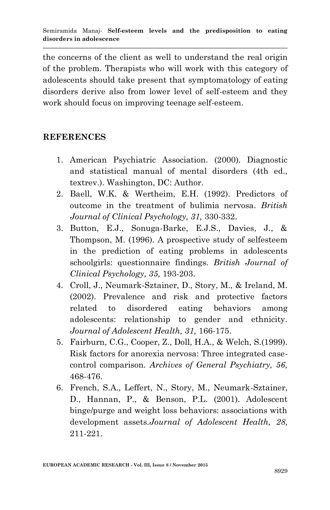the concerns of the client as well to understand the real origin of the problem. Therapists who will work with this category of adolescents should take present that symptomatology of eating disorders derive also from lower level of self-esteem and they work should focus on improving teenage self-esteem.

### **REFERENCES**

- 1. American Psychiatric Association. (2000). Diagnostic and statistical manual of mental disorders (4th ed., textrev.). Washington, DC: Author.
- 2. Baell, W.K. & Wertheim, E.H. (1992). Predictors of outcome in the treatment of bulimia nervosa. *British Journal of Clinical Psychology, 31,* 330-332.
- 3. Button, E.J., Sonuga-Barke, E.J.S., Davies, J., & Thompson, M. (1996). A prospective study of selfesteem in the prediction of eating problems in adolescents schoolgirls: questionnaire findings. *British Journal of Clinical Psychology, 35,* 193-203.
- 4. Croll, J., Neumark-Sztainer, D., Story, M., & Ireland, M. (2002). Prevalence and risk and protective factors related to disordered eating behaviors among adolescents: relationship to gender and ethnicity. *Journal of Adolescent Health, 31,* 166-175.
- 5. Fairburn, C.G., Cooper, Z., Doll, H.A., & Welch, S.(1999). Risk factors for anorexia nervosa: Three integrated casecontrol comparison*. Archives of General Psychiatry, 56,*  468-476.
- 6. French, S.A., Leffert, N., Story, M., Neumark-Sztainer, D., Hannan, P., & Benson, P.L. (2001). Adolescent binge/purge and weight loss behaviors: associations with development assets.*Journal of Adolescent Health, 28,*  211-221.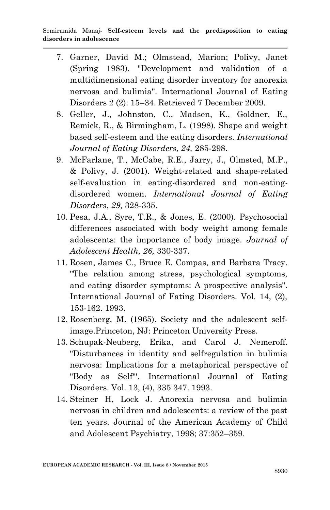- 7. Garner, David M.; Olmstead, Marion; Polivy, Janet (Spring 1983). "Development and validation of a multidimensional eating disorder inventory for anorexia nervosa and bulimia". International Journal of Eating Disorders 2 (2): 15–34. Retrieved 7 December 2009.
- 8. Geller, J., Johnston, C., Madsen, K., Goldner, E., Remick, R., & Birmingham, L. (1998). Shape and weight based self-esteem and the eating disorders. *International Journal of Eating Disorders, 24,* 285-298.
- 9. McFarlane, T., McCabe, R.E., Jarry, J., Olmsted, M.P., & Polivy, J. (2001). Weight-related and shape-related self-evaluation in eating-disordered and non-eatingdisordered women. *International Journal of Eating Disorders*, *29,* 328-335.
- 10. Pesa, J.A., Syre, T.R., & Jones, E. (2000). Psychosocial differences associated with body weight among female adolescents: the importance of body image. *Journal of Adolescent Health, 26,* 330-337.
- 11. Rosen, James C., Bruce E. Compas, and Barbara Tracy. "The relation among stress, psychological symptoms, and eating disorder symptoms: A prospective analysis". International Journal of Fating Disorders. Vol. 14, (2), 153-162. 1993.
- 12. Rosenberg, M. (1965). Society and the adolescent selfimage.Princeton, NJ: Princeton University Press.
- 13. Schupak-Neuberg, Erika, and Carol J. Nemeroff. "Disturbances in identity and selfregulation in bulimia nervosa: Implications for a metaphorical perspective of "Body as Self"'. International Journal of Eating Disorders. Vol. 13, (4), 335 347. 1993.
- 14. Steiner H, Lock J. Anorexia nervosa and bulimia nervosa in children and adolescents: a review of the past ten years. Journal of the American Academy of Child and Adolescent Psychiatry, 1998; 37:352–359.